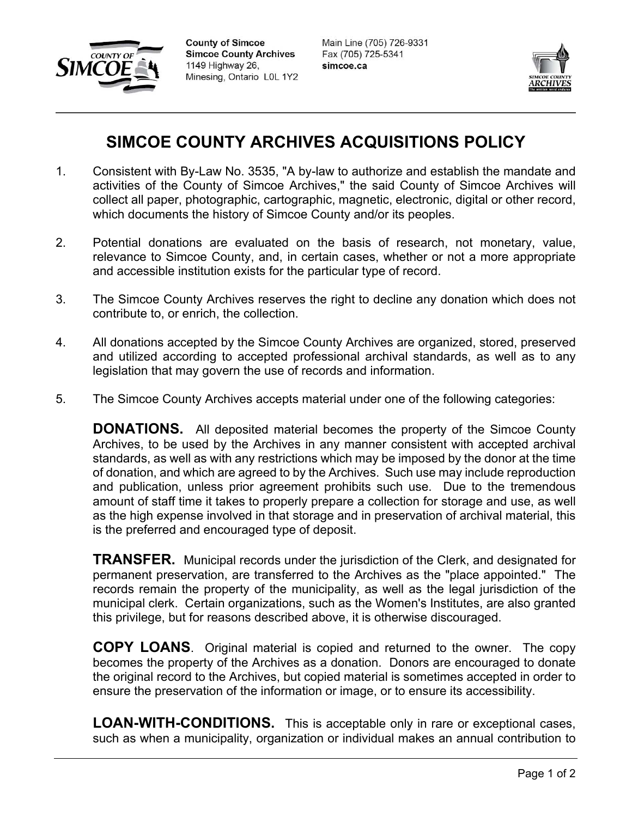

**County of Simcoe Simcoe County Archives** 1149 Highway 26, Minesing, Ontario L0L 1Y2

Main Line (705) 726-9331 Fax (705) 725-5341 simcoe.ca



## **SIMCOE COUNTY ARCHIVES ACQUISITIONS POLICY**

- 1. Consistent with By-Law No. 3535, "A by-law to authorize and establish the mandate and activities of the County of Simcoe Archives," the said County of Simcoe Archives will collect all paper, photographic, cartographic, magnetic, electronic, digital or other record, which documents the history of Simcoe County and/or its peoples.
- 2. Potential donations are evaluated on the basis of research, not monetary, value, relevance to Simcoe County, and, in certain cases, whether or not a more appropriate and accessible institution exists for the particular type of record.
- 3. The Simcoe County Archives reserves the right to decline any donation which does not contribute to, or enrich, the collection.
- 4. All donations accepted by the Simcoe County Archives are organized, stored, preserved and utilized according to accepted professional archival standards, as well as to any legislation that may govern the use of records and information.
- 5. The Simcoe County Archives accepts material under one of the following categories:

**DONATIONS.** All deposited material becomes the property of the Simcoe County Archives, to be used by the Archives in any manner consistent with accepted archival standards, as well as with any restrictions which may be imposed by the donor at the time of donation, and which are agreed to by the Archives. Such use may include reproduction and publication, unless prior agreement prohibits such use. Due to the tremendous amount of staff time it takes to properly prepare a collection for storage and use, as well as the high expense involved in that storage and in preservation of archival material, this is the preferred and encouraged type of deposit.

**TRANSFER.** Municipal records under the jurisdiction of the Clerk, and designated for permanent preservation, are transferred to the Archives as the "place appointed." The records remain the property of the municipality, as well as the legal jurisdiction of the municipal clerk. Certain organizations, such as the Women's Institutes, are also granted this privilege, but for reasons described above, it is otherwise discouraged.

**COPY LOANS**. Original material is copied and returned to the owner. The copy becomes the property of the Archives as a donation. Donors are encouraged to donate the original record to the Archives, but copied material is sometimes accepted in order to ensure the preservation of the information or image, or to ensure its accessibility.

**LOAN-WITH-CONDITIONS.** This is acceptable only in rare or exceptional cases, such as when a municipality, organization or individual makes an annual contribution to